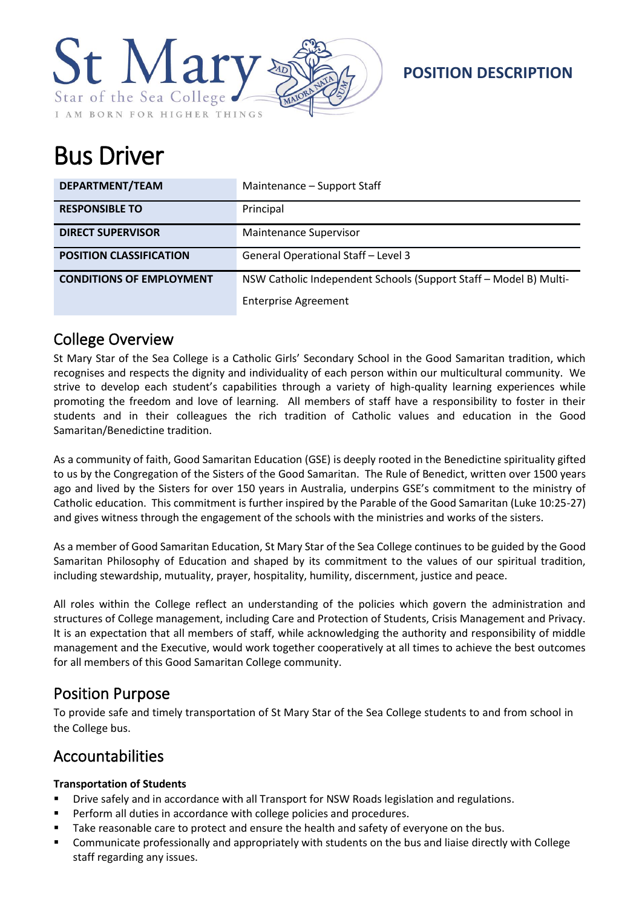

**POSITION DESCRIPTION**

# Bus Driver

| DEPARTMENT/TEAM                 | Maintenance - Support Staff                                       |
|---------------------------------|-------------------------------------------------------------------|
| <b>RESPONSIBLE TO</b>           | Principal                                                         |
| <b>DIRECT SUPERVISOR</b>        | <b>Maintenance Supervisor</b>                                     |
| <b>POSITION CLASSIFICATION</b>  | General Operational Staff - Level 3                               |
| <b>CONDITIONS OF EMPLOYMENT</b> | NSW Catholic Independent Schools (Support Staff - Model B) Multi- |
|                                 | <b>Enterprise Agreement</b>                                       |

## College Overview

St Mary Star of the Sea College is a Catholic Girls' Secondary School in the Good Samaritan tradition, which recognises and respects the dignity and individuality of each person within our multicultural community. We strive to develop each student's capabilities through a variety of high-quality learning experiences while promoting the freedom and love of learning. All members of staff have a responsibility to foster in their students and in their colleagues the rich tradition of Catholic values and education in the Good Samaritan/Benedictine tradition.

As a community of faith, Good Samaritan Education (GSE) is deeply rooted in the Benedictine spirituality gifted to us by the Congregation of the Sisters of the Good Samaritan. The Rule of Benedict, written over 1500 years ago and lived by the Sisters for over 150 years in Australia, underpins GSE's commitment to the ministry of Catholic education. This commitment is further inspired by the Parable of the Good Samaritan (Luke 10:25-27) and gives witness through the engagement of the schools with the ministries and works of the sisters.

As a member of Good Samaritan Education, St Mary Star of the Sea College continues to be guided by the Good Samaritan Philosophy of Education and shaped by its commitment to the values of our spiritual tradition, including stewardship, mutuality, prayer, hospitality, humility, discernment, justice and peace.

All roles within the College reflect an understanding of the policies which govern the administration and structures of College management, including Care and Protection of Students, Crisis Management and Privacy. It is an expectation that all members of staff, while acknowledging the authority and responsibility of middle management and the Executive, would work together cooperatively at all times to achieve the best outcomes for all members of this Good Samaritan College community.

# Position Purpose

To provide safe and timely transportation of St Mary Star of the Sea College students to and from school in the College bus.

## Accountabilities

#### **Transportation of Students**

- Drive safely and in accordance with all Transport for NSW Roads legislation and regulations.
- Perform all duties in accordance with college policies and procedures.
- Take reasonable care to protect and ensure the health and safety of everyone on the bus.
- Communicate professionally and appropriately with students on the bus and liaise directly with College staff regarding any issues.